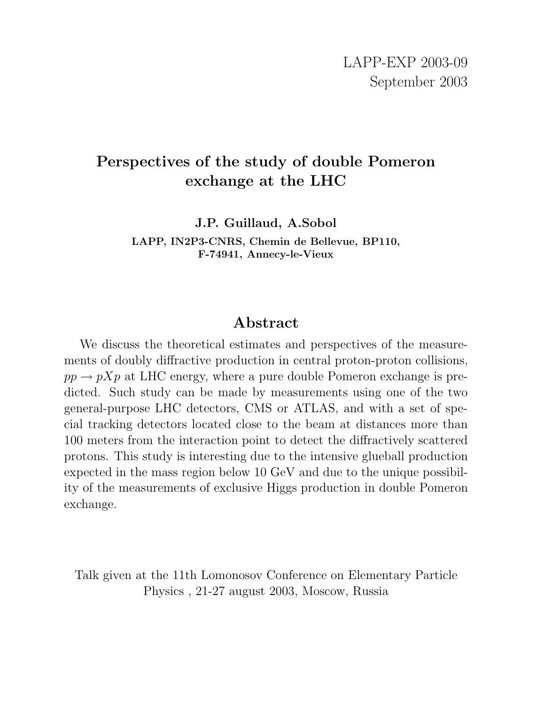# **Perspectives of the study of double Pomeron exchange at the LHC**

**J.P. Guillaud, A.Sobol**

**LAPP, IN2P3-CNRS, Chemin de Bellevue, BP110, F-74941, Annecy-le-Vieux**

# **Abstract**

We discuss the theoretical estimates and perspectives of the measurements of doubly diffractive production in central proton-proton collisions,  $pp \rightarrow pXp$  at LHC energy, where a pure double Pomeron exchange is predicted. Such study can be made by measurements using one of the two general-purpose LHC detectors, CMS or ATLAS, and with a set of special tracking detectors located close to the beam at distances more than 100 meters from the interaction point to detect the diffractively scattered protons. This study is interesting due to the intensive glueball production expected in the mass region below 10 GeV and due to the unique possibility of the measurements of exclusive Higgs production in double Pomeron exchange.

Talk given at the 11th Lomonosov Conference on Elementary Particle Physics , 21-27 august 2003, Moscow, Russia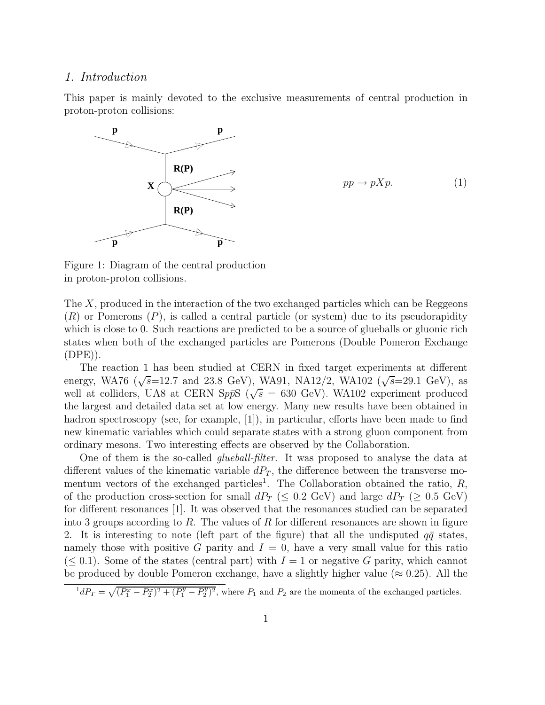#### 1. Introduction

This paper is mainly devoted to the exclusive measurements of central production in proton-proton collisions:



 $pp \rightarrow pXp.$  (1)

Figure 1: Diagram of the central production in proton-proton collisions.

The X, produced in the interaction of the two exchanged particles which can be Reggeons  $(R)$  or Pomerons  $(P)$ , is called a central particle (or system) due to its pseudorapidity which is close to 0. Such reactions are predicted to be a source of glueballs or gluonic rich states when both of the exchanged particles are Pomerons (Double Pomeron Exchange (DPE)).

The reaction 1 has been studied at CERN in fixed target experiments at different energy, WA76 ( $\sqrt{s}$ =12.7 and 23.8 GeV), WA91, NA12/2, WA102 ( $\sqrt{s}$ =29.1 GeV), as well at colliders, UA8 at CERN SppS ( $\sqrt{s}$  = 630 GeV). WA102 experiment produced the largest and detailed data set at low energy. Many new results have been obtained in hadron spectroscopy (see, for example, [1]), in particular, efforts have been made to find new kinematic variables which could separate states with a strong gluon component from ordinary mesons. Two interesting effects are observed by the Collaboration.

One of them is the so-called *glueball-filter*. It was proposed to analyse the data at different values of the kinematic variable  $dP_T$ , the difference between the transverse momentum vectors of the exchanged particles<sup>1</sup>. The Collaboration obtained the ratio,  $R$ , of the production cross-section for small  $dP_T \leq 0.2 \text{ GeV}$  and large  $dP_T \geq 0.5 \text{ GeV}$ for different resonances [1]. It was observed that the resonances studied can be separated into 3 groups according to R. The values of R for different resonances are shown in figure 2. It is interesting to note (left part of the figure) that all the undisputed  $q\bar{q}$  states, namely those with positive G parity and  $I = 0$ , have a very small value for this ratio  $(\leq 0.1)$ . Some of the states (central part) with  $I = 1$  or negative G parity, which cannot be produced by double Pomeron exchange, have a slightly higher value ( $\approx 0.25$ ). All the

 $^{1}dP_{T} = \sqrt{(P_{1}^{x} - P_{2}^{x})^{2} + (P_{1}^{y} - P_{2}^{y})^{2}}$ , where  $P_{1}$  and  $P_{2}$  are the momenta of the exchanged particles.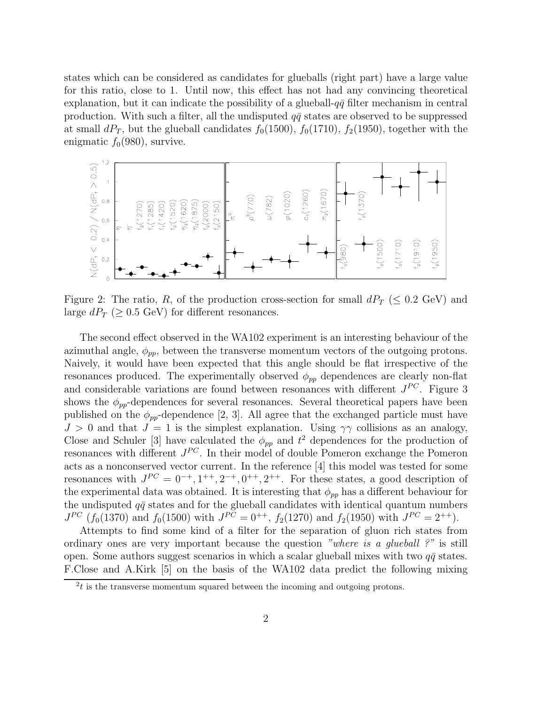states which can be considered as candidates for glueballs (right part) have a large value for this ratio, close to 1. Until now, this effect has not had any convincing theoretical explanation, but it can indicate the possibility of a glueball- $q\bar{q}$  filter mechanism in central production. With such a filter, all the undisputed  $q\bar{q}$  states are observed to be suppressed at small  $dP_T$ , but the glueball candidates  $f_0(1500)$ ,  $f_0(1710)$ ,  $f_2(1950)$ , together with the enigmatic  $f_0(980)$ , survive.



Figure 2: The ratio, R, of the production cross-section for small  $dP_T$  ( $\leq 0.2$  GeV) and large  $dP_T$  ( $\geq 0.5$  GeV) for different resonances.

The second effect observed in the WA102 experiment is an interesting behaviour of the azimuthal angle,  $\phi_{pp}$ , between the transverse momentum vectors of the outgoing protons. Naively, it would have been expected that this angle should be flat irrespective of the resonances produced. The experimentally observed  $\phi_{pp}$  dependences are clearly non-flat and considerable variations are found between resonances with different  $J^{PC}$ . Figure 3 shows the  $\phi_{pp}$ -dependences for several resonances. Several theoretical papers have been published on the  $\phi_{pp}$ -dependence [2, 3]. All agree that the exchanged particle must have  $J > 0$  and that  $J = 1$  is the simplest explanation. Using  $\gamma \gamma$  collisions as an analogy, Close and Schuler [3] have calculated the  $\phi_{pp}$  and  $t^2$  dependences for the production of resonances with different  $J^{PC}$ . In their model of double Pomeron exchange the Pomeron acts as a nonconserved vector current. In the reference [4] this model was tested for some resonances with  $J^{PC} = 0^{-+}, 1^{++}, 2^{-+}, 0^{++}, 2^{++}$ . For these states, a good description of the experimental data was obtained. It is interesting that  $\phi_{pp}$  has a different behaviour for the undisputed  $q\bar{q}$  states and for the glueball candidates with identical quantum numbers  $J^{PC}$  ( $f_0(1370)$  and  $f_0(1500)$  with  $J^{PC} = 0^{++}$ ,  $f_2(1270)$  and  $f_2(1950)$  with  $J^{PC} = 2^{++}$ ).

Attempts to find some kind of a filter for the separation of gluon rich states from ordinary ones are very important because the question "where is a glueball ?" is still open. Some authors suggest scenarios in which a scalar glueball mixes with two  $q\bar{q}$  states. F.Close and A.Kirk [5] on the basis of the WA102 data predict the following mixing

 $2t$  is the transverse momentum squared between the incoming and outgoing protons.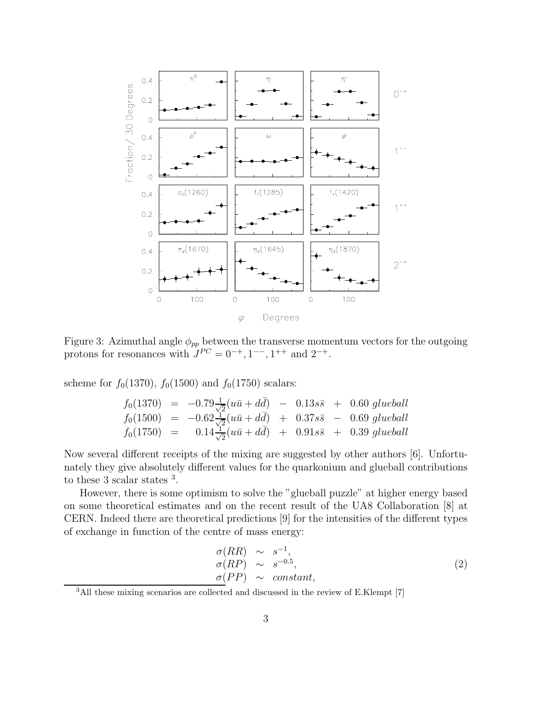

Figure 3: Azimuthal angle  $\phi_{pp}$  between the transverse momentum vectors for the outgoing protons for resonances with  $J^{PC} = 0^{-+}, 1^{--}, 1^{++}$  and  $2^{-+}$ .

scheme for  $f_0(1370)$ ,  $f_0(1500)$  and  $f_0(1750)$  scalars:

$$
f_0(1370) = -0.79 \frac{1}{\sqrt{2}} (u\bar{u} + d\bar{d}) - 0.13s\bar{s} + 0.60 \text{ glueball}
$$
  
\n
$$
f_0(1500) = -0.62 \frac{1}{\sqrt{2}} (u\bar{u} + d\bar{d}) + 0.37s\bar{s} - 0.69 \text{ glueball}
$$
  
\n
$$
f_0(1750) = 0.14 \frac{1}{\sqrt{2}} (u\bar{u} + d\bar{d}) + 0.91s\bar{s} + 0.39 \text{ glueball}
$$

Now several different receipts of the mixing are suggested by other authors [6]. Unfortunately they give absolutely different values for the quarkonium and glueball contributions to these 3 scalar states <sup>3</sup>.

However, there is some optimism to solve the "glueball puzzle" at higher energy based on some theoretical estimates and on the recent result of the UA8 Collaboration [8] at CERN. Indeed there are theoretical predictions [9] for the intensities of the different types of exchange in function of the centre of mass energy:

$$
\begin{array}{rcl}\n\sigma(RR) & \sim & s^{-1}, \\
\sigma(RP) & \sim & s^{-0.5}, \\
\sigma(PP) & \sim & constant,\n\end{array} \tag{2}
$$

<sup>3</sup>All these mixing scenarios are collected and discussed in the review of E.Klempt [7]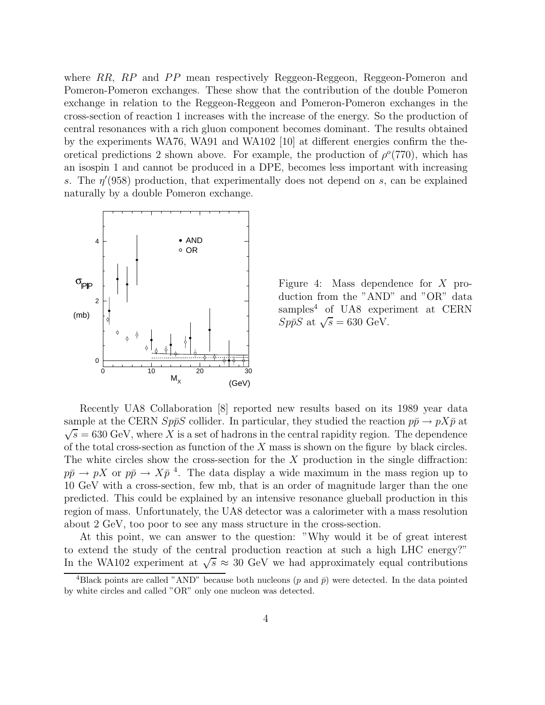where  $RR$ ,  $RP$  and  $PP$  mean respectively Reggeon-Reggeon, Reggeon-Pomeron and Pomeron-Pomeron exchanges. These show that the contribution of the double Pomeron exchange in relation to the Reggeon-Reggeon and Pomeron-Pomeron exchanges in the cross-section of reaction 1 increases with the increase of the energy. So the production of central resonances with a rich gluon component becomes dominant. The results obtained by the experiments WA76, WA91 and WA102 [10] at different energies confirm the theoretical predictions 2 shown above. For example, the production of  $\rho^o(770)$ , which has an isospin 1 and cannot be produced in a DPE, becomes less important with increasing s. The  $\eta'(958)$  production, that experimentally does not depend on s, can be explained naturally by a double Pomeron exchange.



Figure 4: Mass dependence for X production from the "AND" and "OR" data samples<sup>4</sup> of UA8 experiment at CERN  $Sp\bar{p}S$  at  $\sqrt{s} = 630$  GeV.

Recently UA8 Collaboration [8] reported new results based on its 1989 year data sample at the CERN  $Sp\bar{p}S$  collider. In particular, they studied the reaction  $p\bar{p} \to pX\bar{p}$  at  $\sqrt{s}$  = 630 GeV, where X is a set of hadrons in the central rapidity region. The dependence of the total cross-section as function of the  $X$  mass is shown on the figure by black circles. The white circles show the cross-section for the  $X$  production in the single diffraction:  $p\bar{p} \to pX$  or  $p\bar{p} \to X\bar{p}$ <sup>4</sup>. The data display a wide maximum in the mass region up to 10 GeV with a cross-section, few mb, that is an order of magnitude larger than the one predicted. This could be explained by an intensive resonance glueball production in this region of mass. Unfortunately, the UA8 detector was a calorimeter with a mass resolution about 2 GeV, too poor to see any mass structure in the cross-section.

At this point, we can answer to the question: "Why would it be of great interest to extend the study of the central production reaction at such a high LHC energy?" In the WA102 experiment at  $\sqrt{s} \approx 30$  GeV we had approximately equal contributions

<sup>&</sup>lt;sup>4</sup>Black points are called "AND" because both nucleons (p and  $\bar{p}$ ) were detected. In the data pointed by white circles and called "OR" only one nucleon was detected.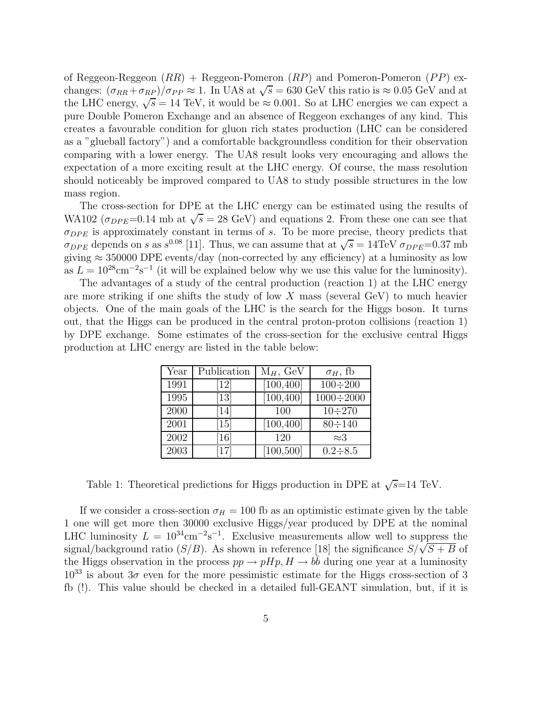of Reggeon-Reggeon  $(RR)$  + Reggeon-Pomeron  $(RP)$  and Pomeron-Pomeron  $(PP)$  exchanges:  $(\sigma_{RR} + \sigma_{RP})/\sigma_{PP} \approx 1$ . In UA8 at  $\sqrt{s} = 630$  GeV this ratio is  $\approx 0.05$  GeV and at the LHC energy,  $\sqrt{s} = 14$  TeV, it would be  $\approx 0.001$ . So at LHC energies we can expect a pure Double Pomeron Exchange and an absence of Reggeon exchanges of any kind. This creates a favourable condition for gluon rich states production (LHC can be considered as a "glueball factory") and a comfortable backgroundless condition for their observation comparing with a lower energy. The UA8 result looks very encouraging and allows the expectation of a more exciting result at the LHC energy. Of course, the mass resolution should noticeably be improved compared to UA8 to study possible structures in the low mass region.

The cross-section for DPE at the LHC energy can be estimated using the results of WA102 ( $\sigma_{DPE}=0.14$  mb at  $\sqrt{s} = 28$  GeV) and equations 2. From these one can see that  $\sigma_{DPE}$  is approximately constant in terms of s. To be more precise, theory predicts that  $\sigma_{DPE}$  depends on s as s<sup>0.08</sup> [11]. Thus, we can assume that at  $\sqrt{s} = 14 \text{TeV} \space \sigma_{DPE} = 0.37 \text{ mb}$ giving  $\approx 350000$  DPE events/day (non-corrected by any efficiency) at a luminosity as low as  $L = 10^{28} \text{cm}^{-2} \text{s}^{-1}$  (it will be explained below why we use this value for the luminosity).

The advantages of a study of the central production (reaction 1) at the LHC energy are more striking if one shifts the study of low  $X$  mass (several GeV) to much heavier objects. One of the main goals of the LHC is the search for the Higgs boson. It turns out, that the Higgs can be produced in the central proton-proton collisions (reaction 1) by DPE exchange. Some estimates of the cross-section for the exclusive central Higgs production at LHC energy are listed in the table below:

| Year | Publication                   | $M_H$ , GeV            | $\sigma_H$ , fb  |
|------|-------------------------------|------------------------|------------------|
| 1991 | $\left[12\right]$             | [100, 400]             | $100 \div 200$   |
| 1995 | $\left\lceil 13\right\rceil$  | $\overline{[100,400]}$ | $1000 \div 2000$ |
| 2000 | 14                            | 100                    | $10 \div 270$    |
| 2001 | $\left\lceil 15 \right\rceil$ | [100, 400]             | $80 \div 140$    |
| 2002 | $\left[16\right]$             | 120                    | $\approx 3$      |
| 2003 | <u>17</u>                     | [100, 500]             | $0.2 \div 8.5$   |

Table 1: Theoretical predictions for Higgs production in DPE at  $\sqrt{s}$ =14 TeV.

If we consider a cross-section  $\sigma_H = 100$  fb as an optimistic estimate given by the table 1 one will get more then 30000 exclusive Higgs/year produced by DPE at the nominal LHC luminosity  $L = 10^{34} \text{cm}^{-2} \text{s}^{-1}$ . Exclusive measurements allow well to suppress the signal/background ratio (S/B). As shown in reference [18] the significance  $S/\sqrt{S+B}$  of the Higgs observation in the process  $pp \to pHp$ ,  $H \to bb$  during one year at a luminosity  $10^{33}$  is about  $3\sigma$  even for the more pessimistic estimate for the Higgs cross-section of 3 fb (!). This value should be checked in a detailed full-GEANT simulation, but, if it is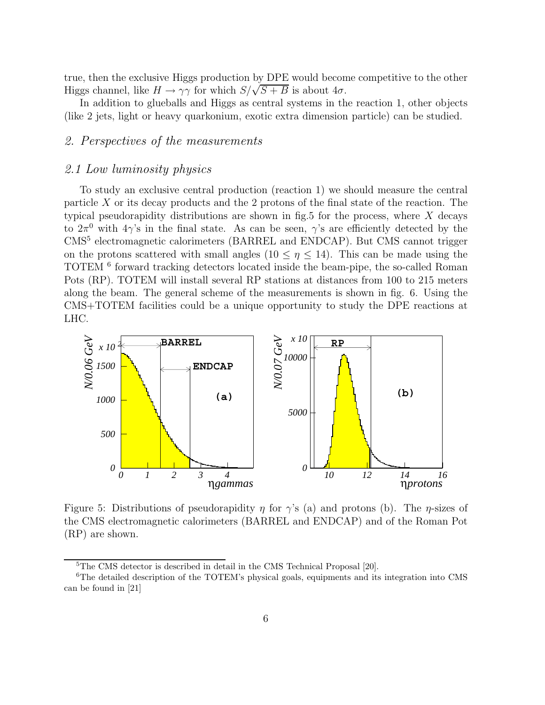true, then the exclusive Higgs production by DPE would become competitive to the other Higgs channel, like  $H \to \gamma\gamma$  for which  $S/\sqrt{S+B}$  is about  $4\sigma$ .

In addition to glueballs and Higgs as central systems in the reaction 1, other objects (like 2 jets, light or heavy quarkonium, exotic extra dimension particle) can be studied.

### 2. Perspectives of the measurements

#### 2.1 Low luminosity physics

To study an exclusive central production (reaction 1) we should measure the central particle X or its decay products and the 2 protons of the final state of the reaction. The typical pseudorapidity distributions are shown in fig.5 for the process, where  $X$  decays to  $2\pi^0$  with  $4\gamma$ 's in the final state. As can be seen,  $\gamma$ 's are efficiently detected by the CMS<sup>5</sup> electromagnetic calorimeters (BARREL and ENDCAP). But CMS cannot trigger on the protons scattered with small angles ( $10 \le \eta \le 14$ ). This can be made using the TOTEM <sup>6</sup> forward tracking detectors located inside the beam-pipe, the so-called Roman Pots (RP). TOTEM will install several RP stations at distances from 100 to 215 meters along the beam. The general scheme of the measurements is shown in fig. 6. Using the CMS+TOTEM facilities could be a unique opportunity to study the DPE reactions at LHC.



Figure 5: Distributions of pseudorapidity  $\eta$  for  $\gamma$ 's (a) and protons (b). The  $\eta$ -sizes of the CMS electromagnetic calorimeters (BARREL and ENDCAP) and of the Roman Pot (RP) are shown.

<sup>&</sup>lt;sup>5</sup>The CMS detector is described in detail in the CMS Technical Proposal [20].

<sup>6</sup>The detailed description of the TOTEM's physical goals, equipments and its integration into CMS can be found in [21]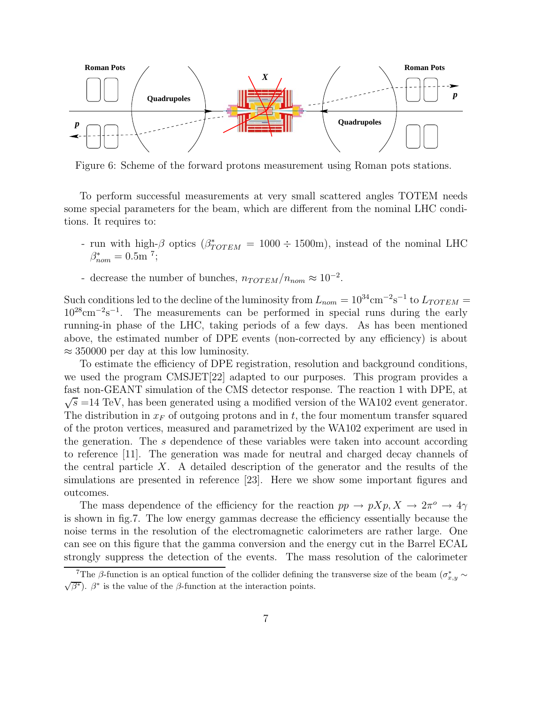

Figure 6: Scheme of the forward protons measurement using Roman pots stations.

To perform successful measurements at very small scattered angles TOTEM needs some special parameters for the beam, which are different from the nominal LHC conditions. It requires to:

- run with high- $\beta$  optics ( $\beta^*_{TOTEM} = 1000 \div 1500$ m), instead of the nominal LHC  $\beta^*_{nom} = 0.5$ m<sup>7</sup>;
- decrease the number of bunches,  $n_{TOTEM}/n_{nom} \approx 10^{-2}$ .

Such conditions led to the decline of the luminosity from  $L_{nom} = 10^{34} \text{cm}^{-2} \text{s}^{-1}$  to  $L_{TOTEM} =$  $10^{28}$ cm<sup>-2</sup>s<sup>-1</sup>. The measurements can be performed in special runs during the early running-in phase of the LHC, taking periods of a few days. As has been mentioned above, the estimated number of DPE events (non-corrected by any efficiency) is about  $\approx$  350000 per day at this low luminosity.

To estimate the efficiency of DPE registration, resolution and background conditions, we used the program CMSJET[22] adapted to our purposes. This program provides a fast non-GEANT simulation of the CMS detector response. The reaction 1 with DPE, at  $\sqrt{s}$  =14 TeV, has been generated using a modified version of the WA102 event generator. The distribution in  $x_F$  of outgoing protons and in t, the four momentum transfer squared of the proton vertices, measured and parametrized by the WA102 experiment are used in the generation. The s dependence of these variables were taken into account according to reference [11]. The generation was made for neutral and charged decay channels of the central particle X. A detailed description of the generator and the results of the simulations are presented in reference [23]. Here we show some important figures and outcomes.

The mass dependence of the efficiency for the reaction  $pp \to pXp, X \to 2\pi^o \to 4\gamma$ is shown in fig.7. The low energy gammas decrease the efficiency essentially because the noise terms in the resolution of the electromagnetic calorimeters are rather large. One can see on this figure that the gamma conversion and the energy cut in the Barrel ECAL strongly suppress the detection of the events. The mass resolution of the calorimeter

<sup>&</sup>lt;sup>7</sup>The *β*-function is an optical function of the collider defining the transverse size of the beam  $(\sigma_{x,y}^*)$ .  $\beta^*$  is the value of the *β*-function at the interaction points.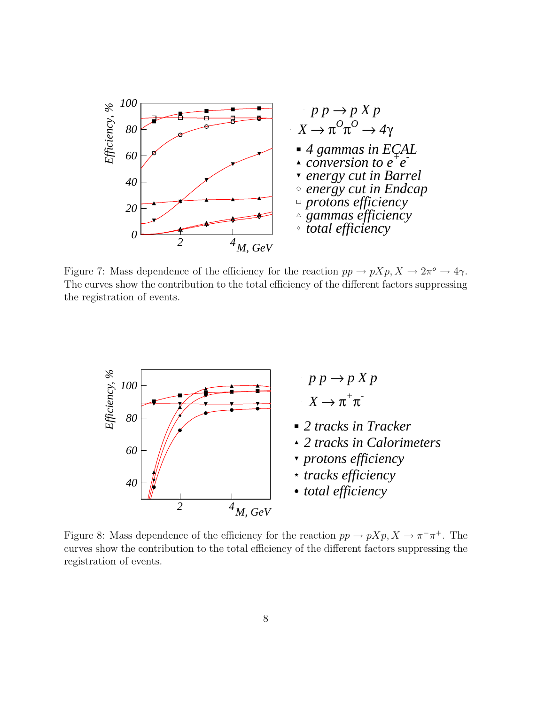

Figure 7: Mass dependence of the efficiency for the reaction  $pp \to pXp, X \to 2\pi^o \to 4\gamma$ . The curves show the contribution to the total efficiency of the different factors suppressing the registration of events.



Figure 8: Mass dependence of the efficiency for the reaction  $pp \to pXp, X \to \pi^{-}\pi^{+}$ . The curves show the contribution to the total efficiency of the different factors suppressing the registration of events.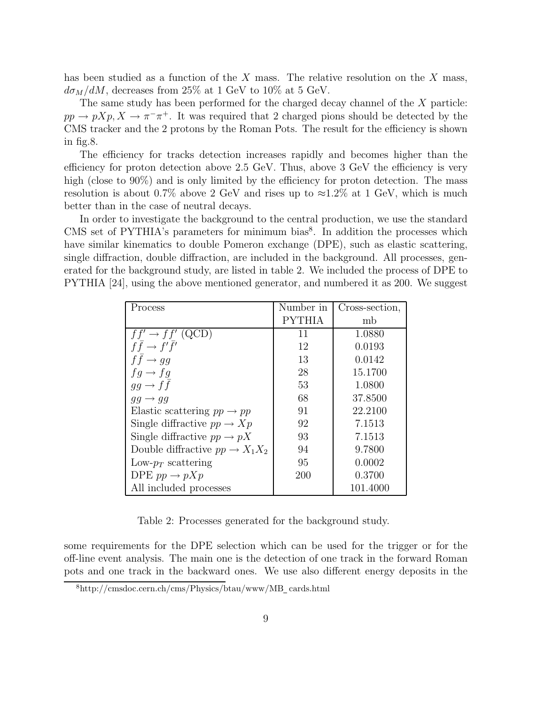has been studied as a function of the  $X$  mass. The relative resolution on the  $X$  mass,  $d\sigma_M/dM$ , decreases from 25% at 1 GeV to 10% at 5 GeV.

The same study has been performed for the charged decay channel of the  $X$  particle:  $pp \to pXp, X \to \pi^-\pi^+$ . It was required that 2 charged pions should be detected by the CMS tracker and the 2 protons by the Roman Pots. The result for the efficiency is shown in fig.8.

The efficiency for tracks detection increases rapidly and becomes higher than the efficiency for proton detection above 2.5 GeV. Thus, above 3 GeV the efficiency is very high (close to 90%) and is only limited by the efficiency for proton detection. The mass resolution is about 0.7% above 2 GeV and rises up to  $\approx 1.2\%$  at 1 GeV, which is much better than in the case of neutral decays.

In order to investigate the background to the central production, we use the standard CMS set of PYTHIA's parameters for minimum bias<sup>8</sup>. In addition the processes which have similar kinematics to double Pomeron exchange (DPE), such as elastic scattering, single diffraction, double diffraction, are included in the background. All processes, generated for the background study, are listed in table 2. We included the process of DPE to PYTHIA [24], using the above mentioned generator, and numbered it as 200. We suggest

| Process                                     | Number in     | Cross-section, |
|---------------------------------------------|---------------|----------------|
|                                             | <b>PYTHIA</b> | mb             |
| $ff' \rightarrow ff'$ (QCD)                 | 11            | 1.0880         |
| $f\bar{f} \rightarrow f'\bar{f}'$           | 12            | 0.0193         |
| $ff \rightarrow gg$                         | 13            | 0.0142         |
| $fg \rightarrow fg$                         | 28            | 15.1700        |
| $gg \to f\bar{f}$                           | 53            | 1.0800         |
| $gg \rightarrow gg$                         | 68            | 37.8500        |
| Elastic scattering $pp \rightarrow pp$      | 91            | 22.2100        |
| Single diffractive $pp \to Xp$              | 92            | 7.1513         |
| Single diffractive $pp \to pX$              | 93            | 7.1513         |
| Double diffractive $pp \rightarrow X_1 X_2$ | 94            | 9.7800         |
| Low- $p_T$ scattering                       | 95            | 0.0002         |
| DPE $pp \rightarrow pXp$                    | 200           | 0.3700         |
| All included processes                      |               | 101.4000       |

Table 2: Processes generated for the background study.

some requirements for the DPE selection which can be used for the trigger or for the off-line event analysis. The main one is the detection of one track in the forward Roman pots and one track in the backward ones. We use also different energy deposits in the

<sup>8</sup>http://cmsdoc.cern.ch/cms/Physics/btau/www/MB cards.html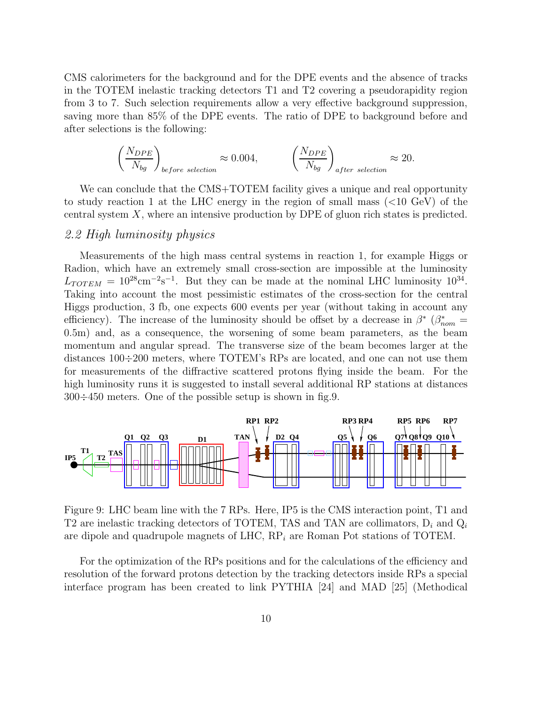CMS calorimeters for the background and for the DPE events and the absence of tracks in the TOTEM inelastic tracking detectors T1 and T2 covering a pseudorapidity region from 3 to 7. Such selection requirements allow a very effective background suppression, saving more than 85% of the DPE events. The ratio of DPE to background before and after selections is the following:

$$
\left(\frac{N_{DPE}}{N_{bg}}\right)_{before\ selection} \approx 0.004, \qquad \left(\frac{N_{DPE}}{N_{bg}}\right)_{after\ selection} \approx 20.
$$

We can conclude that the CMS+TOTEM facility gives a unique and real opportunity to study reaction 1 at the LHC energy in the region of small mass (<10 GeV) of the central system X, where an intensive production by DPE of gluon rich states is predicted.

### 2.2 High luminosity physics

Measurements of the high mass central systems in reaction 1, for example Higgs or Radion, which have an extremely small cross-section are impossible at the luminosity  $L_{TOTEM} = 10^{28} \text{cm}^{-2} \text{s}^{-1}$ . But they can be made at the nominal LHC luminosity  $10^{34}$ . Taking into account the most pessimistic estimates of the cross-section for the central Higgs production, 3 fb, one expects 600 events per year (without taking in account any efficiency). The increase of the luminosity should be offset by a decrease in  $\beta^*$  ( $\beta^*_{nom}$  = 0.5m) and as a consequence, the weighting of some beam perspectors, as the beam 0.5m) and, as a consequence, the worsening of some beam parameters, as the beam momentum and angular spread. The transverse size of the beam becomes larger at the distances 100÷200 meters, where TOTEM's RPs are located, and one can not use them for measurements of the diffractive scattered protons flying inside the beam. For the high luminosity runs it is suggested to install several additional RP stations at distances 300÷450 meters. One of the possible setup is shown in fig.9.



Figure 9: LHC beam line with the 7 RPs. Here, IP5 is the CMS interaction point, T1 and T2 are inelastic tracking detectors of TOTEM, TAS and TAN are collimators,  $D_i$  and  $Q_i$ are dipole and quadrupole magnets of LHC,  $RP_i$  are Roman Pot stations of TOTEM.

For the optimization of the RPs positions and for the calculations of the efficiency and resolution of the forward protons detection by the tracking detectors inside RPs a special interface program has been created to link PYTHIA [24] and MAD [25] (Methodical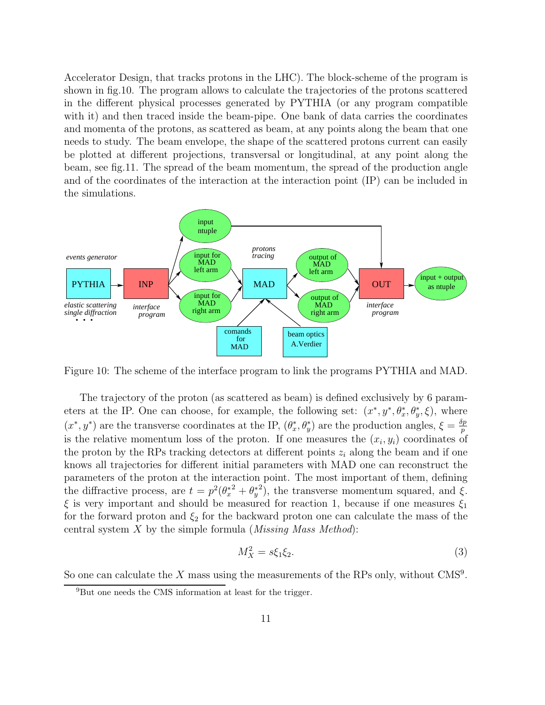Accelerator Design, that tracks protons in the LHC). The block-scheme of the program is shown in fig.10. The program allows to calculate the trajectories of the protons scattered in the different physical processes generated by PYTHIA (or any program compatible with it) and then traced inside the beam-pipe. One bank of data carries the coordinates and momenta of the protons, as scattered as beam, at any points along the beam that one needs to study. The beam envelope, the shape of the scattered protons current can easily be plotted at different projections, transversal or longitudinal, at any point along the beam, see fig.11. The spread of the beam momentum, the spread of the production angle and of the coordinates of the interaction at the interaction point (IP) can be included in the simulations.



Figure 10: The scheme of the interface program to link the programs PYTHIA and MAD.

The trajectory of the proton (as scattered as beam) is defined exclusively by 6 parameters at the IP. One can choose, for example, the following set:  $(x^*, y^*, \theta_x^*, \theta_y^*, \xi)$ , where  $(x^*, y^*)$  are the transverse coordinates at the IP,  $(\theta_x^*, \theta_y^*)$  are the production angles,  $\xi = \frac{\partial p}{\partial y}$ is the relative momentum loss of the proton. If one measures the  $(x_i, y_i)$  coordinates of the proton by the RPs tracking detectors at different points  $z_i$  along the beam and if one knows all trajectories for different initial parameters with MAD one can reconstruct the parameters of the proton at the interaction point. The most important of them, defining the diffractive process, are  $t = p^2(\theta_x^* + \theta_y^*)$ , the transverse momentum squared, and  $\xi$ .  $\xi$  is very important and should be measured for reaction 1, because if one measures  $\xi_1$ for the forward proton and  $\xi_2$  for the backward proton one can calculate the mass of the central system  $X$  by the simple formula (*Missing Mass Method*):

$$
M_X^2 = s\xi_1\xi_2.
$$
 (3)

So one can calculate the X mass using the measurements of the RPs only, without  $\text{CMS}^9$ .

<sup>9</sup>But one needs the CMS information at least for the trigger.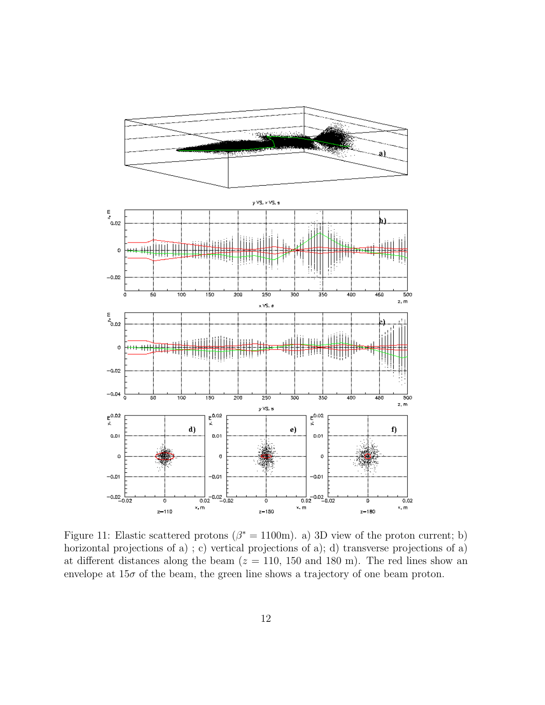

Figure 11: Elastic scattered protons ( $\beta^* = 1100$ m). a) 3D view of the proton current; b) horizontal projections of a); c) vertical projections of a); d) transverse projections of a) at different distances along the beam  $(z = 110, 150, 180, m)$ . The red lines show an envelope at  $15\sigma$  of the beam, the green line shows a trajectory of one beam proton.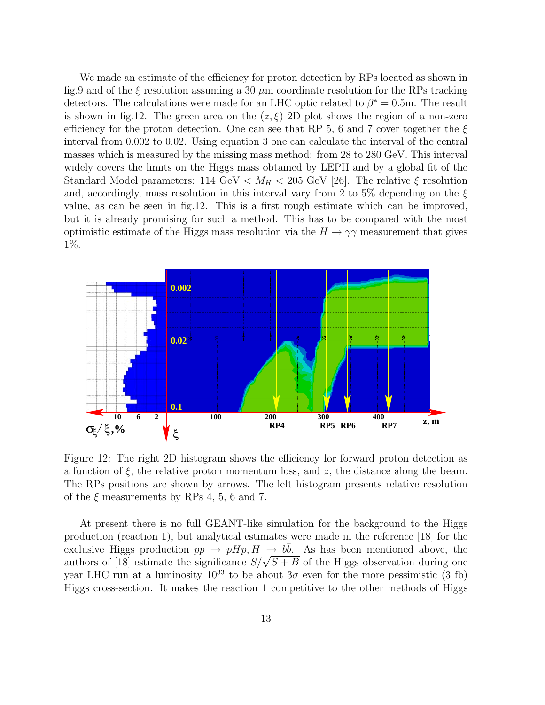We made an estimate of the efficiency for proton detection by RPs located as shown in fig.9 and of the  $\xi$  resolution assuming a 30  $\mu$ m coordinate resolution for the RPs tracking detectors. The calculations were made for an LHC optic related to  $\beta^* = 0.5$ m. The result is shown in fig.12. The green area on the  $(z, \xi)$  2D plot shows the region of a non-zero efficiency for the proton detection. One can see that RP 5, 6 and 7 cover together the  $\xi$ interval from 0.002 to 0.02. Using equation 3 one can calculate the interval of the central masses which is measured by the missing mass method: from 28 to 280 GeV. This interval widely covers the limits on the Higgs mass obtained by LEPII and by a global fit of the Standard Model parameters: 114 GeV  $\langle M_H \rangle$  = 205 GeV [26]. The relative  $\xi$  resolution and, accordingly, mass resolution in this interval vary from 2 to 5% depending on the  $\xi$ value, as can be seen in fig.12. This is a first rough estimate which can be improved, but it is already promising for such a method. This has to be compared with the most optimistic estimate of the Higgs mass resolution via the  $H \to \gamma\gamma$  measurement that gives 1%.



Figure 12: The right 2D histogram shows the efficiency for forward proton detection as a function of  $\xi$ , the relative proton momentum loss, and z, the distance along the beam. The RPs positions are shown by arrows. The left histogram presents relative resolution of the  $\xi$  measurements by RPs 4, 5, 6 and 7.

At present there is no full GEANT-like simulation for the background to the Higgs production (reaction 1), but analytical estimates were made in the reference [18] for the exclusive Higgs production  $pp \rightarrow pHp$ ,  $H \rightarrow b\bar{b}$ . As has been mentioned above, the authors of [18] estimate the significance  $S/\sqrt{S+B}$  of the Higgs observation during one year LHC run at a luminosity  $10^{33}$  to be about  $3\sigma$  even for the more pessimistic (3 fb) Higgs cross-section. It makes the reaction 1 competitive to the other methods of Higgs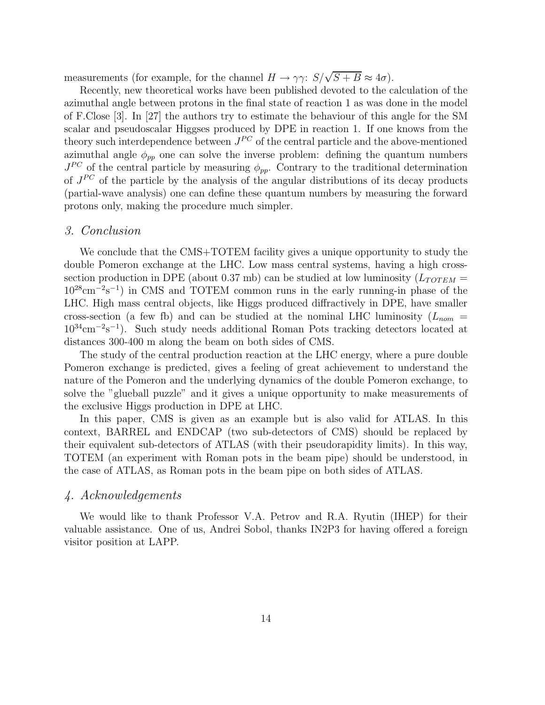measurements (for example, for the channel  $H \to \gamma \gamma$ :  $S/\sqrt{S+B} \approx 4\sigma$ ).

Recently, new theoretical works have been published devoted to the calculation of the azimuthal angle between protons in the final state of reaction 1 as was done in the model of F.Close [3]. In [27] the authors try to estimate the behaviour of this angle for the SM scalar and pseudoscalar Higgses produced by DPE in reaction 1. If one knows from the theory such interdependence between  $J^{PC}$  of the central particle and the above-mentioned azimuthal angle  $\phi_{pp}$  one can solve the inverse problem: defining the quantum numbers  $J^{PC}$  of the central particle by measuring  $\phi_{pp}$ . Contrary to the traditional determination of  $J^{PC}$  of the particle by the analysis of the angular distributions of its decay products (partial-wave analysis) one can define these quantum numbers by measuring the forward protons only, making the procedure much simpler.

#### 3. Conclusion

We conclude that the CMS+TOTEM facility gives a unique opportunity to study the double Pomeron exchange at the LHC. Low mass central systems, having a high crosssection production in DPE (about 0.37 mb) can be studied at low luminosity  $(L_{TOTEM} =$  $10^{28}$ cm<sup>-2</sup>s<sup>-1</sup>) in CMS and TOTEM common runs in the early running-in phase of the LHC. High mass central objects, like Higgs produced diffractively in DPE, have smaller cross-section (a few fb) and can be studied at the nominal LHC luminosity ( $L_{nom}$  =  $10^{34} \text{cm}^{-2}\text{s}^{-1}$ ). Such study needs additional Roman Pots tracking detectors located at distances 300-400 m along the beam on both sides of CMS.

The study of the central production reaction at the LHC energy, where a pure double Pomeron exchange is predicted, gives a feeling of great achievement to understand the nature of the Pomeron and the underlying dynamics of the double Pomeron exchange, to solve the "glueball puzzle" and it gives a unique opportunity to make measurements of the exclusive Higgs production in DPE at LHC.

In this paper, CMS is given as an example but is also valid for ATLAS. In this context, BARREL and ENDCAP (two sub-detectors of CMS) should be replaced by their equivalent sub-detectors of ATLAS (with their pseudorapidity limits). In this way, TOTEM (an experiment with Roman pots in the beam pipe) should be understood, in the case of ATLAS, as Roman pots in the beam pipe on both sides of ATLAS.

#### 4. Acknowledgements

We would like to thank Professor V.A. Petrov and R.A. Ryutin (IHEP) for their valuable assistance. One of us, Andrei Sobol, thanks IN2P3 for having offered a foreign visitor position at LAPP.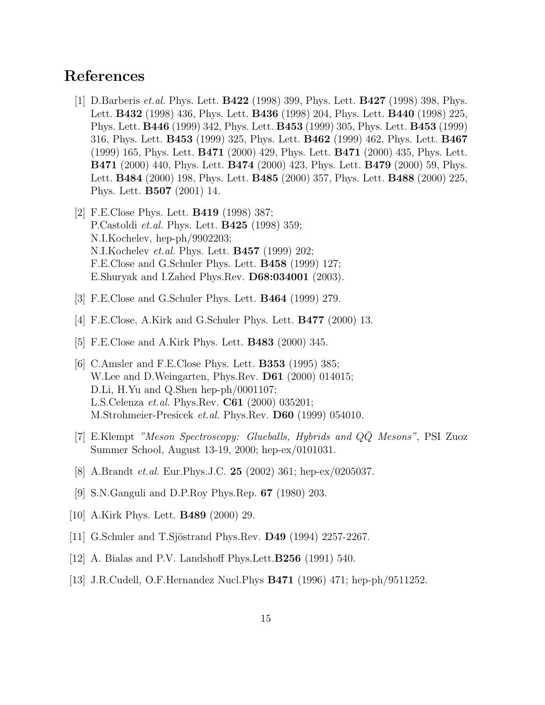## **References**

- [1] D.Barberis et.al. Phys. Lett. **B422** (1998) 399, Phys. Lett. **B427** (1998) 398, Phys. Lett. **B432** (1998) 436, Phys. Lett. **B436** (1998) 204, Phys. Lett. **B440** (1998) 225, Phys. Lett. **B446** (1999) 342, Phys. Lett. **B453** (1999) 305, Phys. Lett. **B453** (1999) 316, Phys. Lett. **B453** (1999) 325, Phys. Lett. **B462** (1999) 462, Phys. Lett. **B467** (1999) 165, Phys. Lett. **B471** (2000) 429, Phys. Lett. **B471** (2000) 435, Phys. Lett. **B471** (2000) 440, Phys. Lett. **B474** (2000) 423, Phys. Lett. **B479** (2000) 59, Phys. Lett. **B484** (2000) 198, Phys. Lett. **B485** (2000) 357, Phys. Lett. **B488** (2000) 225, Phys. Lett. **B507** (2001) 14.
- [2] F.E.Close Phys. Lett. **B419** (1998) 387; P.Castoldi et.al. Phys. Lett. **B425** (1998) 359; N.I.Kochelev, hep-ph/9902203; N.I.Kochelev et.al. Phys. Lett. **B457** (1999) 202; F.E.Close and G.Schuler Phys. Lett. **B458** (1999) 127; E.Shuryak and I.Zahed Phys.Rev. **D68:034001** (2003).
- [3] F.E.Close and G.Schuler Phys. Lett. **B464** (1999) 279.
- [4] F.E.Close, A.Kirk and G.Schuler Phys. Lett. **B477** (2000) 13.
- [5] F.E.Close and A.Kirk Phys. Lett. **B483** (2000) 345.
- [6] C.Amsler and F.E.Close Phys. Lett. **B353** (1995) 385; W.Lee and D.Weingarten, Phys.Rev. **D61** (2000) 014015; D.Li, H.Yu and Q.Shen hep-ph/0001107; L.S.Celenza et.al. Phys.Rev. **C61** (2000) 035201; M.Strohmeier-Presicek et.al. Phys.Rev. **D60** (1999) 054010.
- [7] E.Klempt "Meson Spectroscopy: Glueballs, Hybrids and QQ Mesons", PSI Zuoz Summer School, August 13-19, 2000; hep-ex/0101031.
- [8] A.Brandt et.al. Eur.Phys.J.C. **25** (2002) 361; hep-ex/0205037.
- [9] S.N.Ganguli and D.P.Roy Phys.Rep. **67** (1980) 203.
- [10] A.Kirk Phys. Lett. **B489** (2000) 29.
- [11] G.Schuler and T.Sjöstrand Phys.Rev. **D49** (1994) 2257-2267.
- [12] A. Bialas and P.V. Landshoff Phys.Lett.**B256** (1991) 540.
- [13] J.R.Cudell, O.F.Hernandez Nucl.Phys **B471** (1996) 471; hep-ph/9511252.